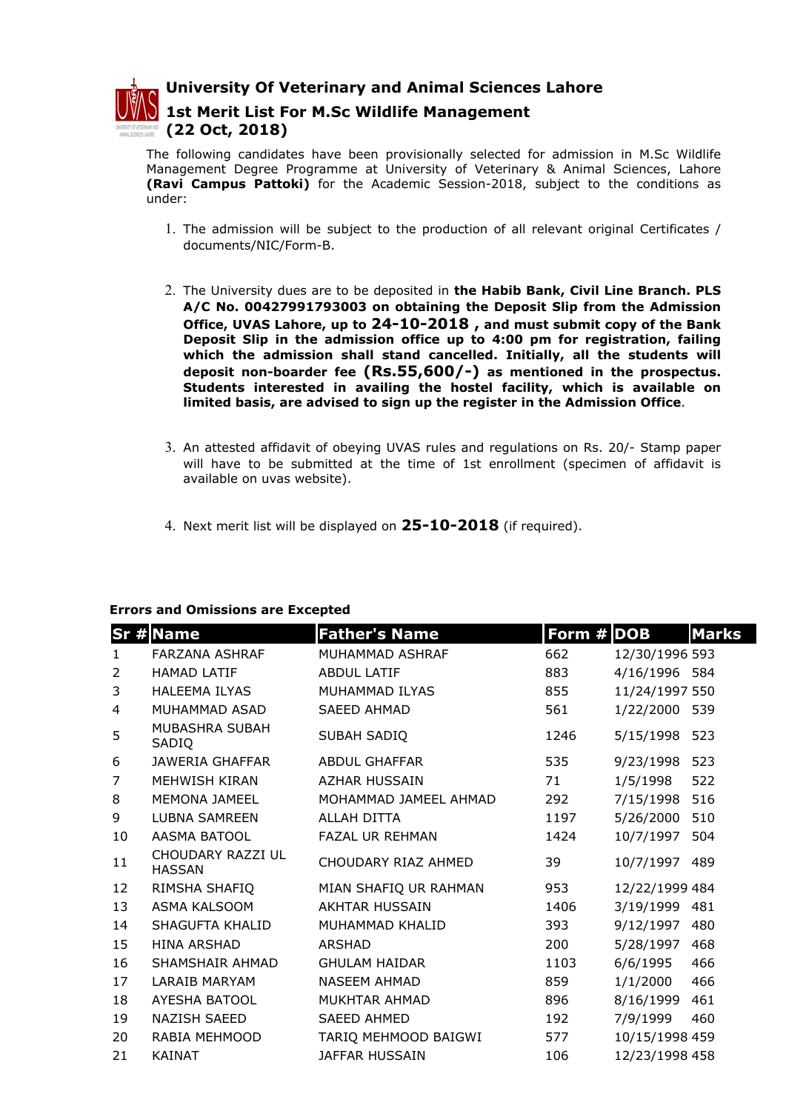

University Of Veterinary and Animal Sciences Lahore

## 1st Merit List For M.Sc Wildlife Management (22 Oct, 2018)

The following candidates have been provisionally selected for admission in M.Sc Wildlife Management Degree Programme at University of Veterinary & Animal Sciences, Lahore (Ravi Campus Pattoki) for the Academic Session-2018, subject to the conditions as under:

- 1. The admission will be subject to the production of all relevant original Certificates / documents/NIC/Form-B.
- 2. The University dues are to be deposited in the Habib Bank, Civil Line Branch. PLS A/C No. 00427991793003 on obtaining the Deposit Slip from the Admission Office, UVAS Lahore, up to 24-10-2018 , and must submit copy of the Bank Deposit Slip in the admission office up to 4:00 pm for registration, failing which the admission shall stand cancelled. Initially, all the students will deposit non-boarder fee  $(Rs.55,600/-)$  as mentioned in the prospectus. Students interested in availing the hostel facility, which is available on limited basis, are advised to sign up the register in the Admission Office.
- 3. An attested affidavit of obeying UVAS rules and regulations on Rs. 20/- Stamp paper will have to be submitted at the time of 1st enrollment (specimen of affidavit is available on uvas website).
- 4. Next merit list will be displayed on  $25-10-2018$  (if required).

## Errors and Omissions are Excepted

|                | <b>Sr # Name</b>                   | <b>Father's Name</b>   | Form # DOB |                | <b>Marks</b> |
|----------------|------------------------------------|------------------------|------------|----------------|--------------|
| $\mathbf{1}$   | <b>FARZANA ASHRAF</b>              | MUHAMMAD ASHRAF        | 662        | 12/30/1996 593 |              |
| 2              | <b>HAMAD LATIF</b>                 | <b>ABDUL LATIF</b>     | 883        | 4/16/1996 584  |              |
| 3              | <b>HALEEMA ILYAS</b>               | MUHAMMAD ILYAS         | 855        | 11/24/1997 550 |              |
| 4              | MUHAMMAD ASAD                      | <b>SAEED AHMAD</b>     | 561        | 1/22/2000 539  |              |
| 5              | MUBASHRA SUBAH<br>SADIQ            | SUBAH SADIQ            | 1246       | 5/15/1998      | 523          |
| 6              | <b>JAWERIA GHAFFAR</b>             | <b>ABDUL GHAFFAR</b>   | 535        | 9/23/1998      | 523          |
| $\overline{7}$ | MEHWISH KIRAN                      | <b>AZHAR HUSSAIN</b>   | 71         | 1/5/1998       | 522          |
| 8              | MEMONA JAMEEL                      | MOHAMMAD JAMEEL AHMAD  | 292        | 7/15/1998      | 516          |
| 9              | <b>LUBNA SAMREEN</b>               | ALLAH DITTA            | 1197       | 5/26/2000      | 510          |
| 10             | AASMA BATOOL                       | <b>FAZAL UR REHMAN</b> | 1424       | 10/7/1997      | 504          |
| 11             | CHOUDARY RAZZI UL<br><b>HASSAN</b> | CHOUDARY RIAZ AHMED    | 39         | 10/7/1997      | 489          |
| 12             | RIMSHA SHAFIQ                      | MIAN SHAFIQ UR RAHMAN  | 953        | 12/22/1999 484 |              |
| 13             | ASMA KALSOOM                       | AKHTAR HUSSAIN         | 1406       | 3/19/1999      | 481          |
| 14             | SHAGUFTA KHALID                    | MUHAMMAD KHALID        | 393        | 9/12/1997      | 480          |
| 15             | <b>HINA ARSHAD</b>                 | ARSHAD                 | 200        | 5/28/1997      | 468          |
| 16             | SHAMSHAIR AHMAD                    | <b>GHULAM HAIDAR</b>   | 1103       | 6/6/1995       | 466          |
| 17             | LARAIB MARYAM                      | <b>NASEEM AHMAD</b>    | 859        | 1/1/2000       | 466          |
| 18             | <b>AYESHA BATOOL</b>               | MUKHTAR AHMAD          | 896        | 8/16/1999      | 461          |
| 19             | <b>NAZISH SAEED</b>                | <b>SAEED AHMED</b>     | 192        | 7/9/1999       | 460          |
| 20             | RABIA MEHMOOD                      | TARIQ MEHMOOD BAIGWI   | 577        | 10/15/1998 459 |              |
| 21             | <b>KAINAT</b>                      | <b>JAFFAR HUSSAIN</b>  | 106        | 12/23/1998 458 |              |